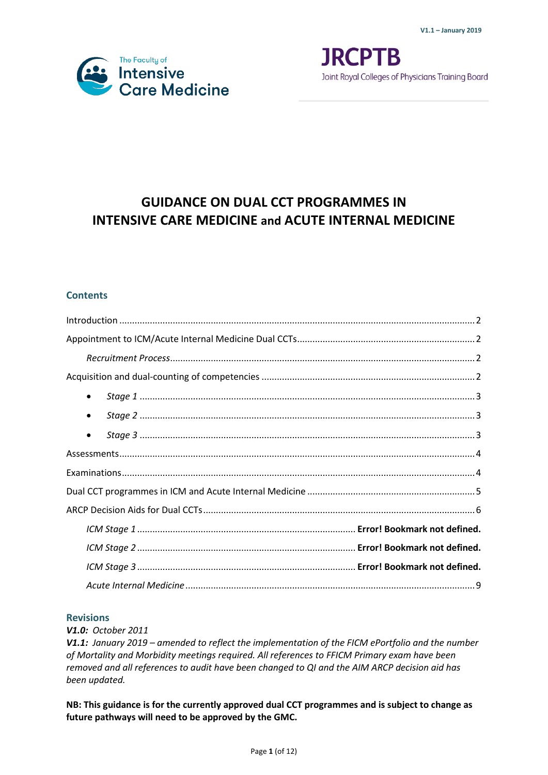**V1.1 – January 2019**





# **GUIDANCE ON DUAL CCT PROGRAMMES IN INTENSIVE CARE MEDICINE and ACUTE INTERNAL MEDICINE**

## **Contents**

| ٠         |  |
|-----------|--|
| ٠         |  |
| $\bullet$ |  |
|           |  |
|           |  |
|           |  |
|           |  |
|           |  |
|           |  |
|           |  |
|           |  |

#### **Revisions**

*V1.0: October 2011*

*V1.1: January 2019 – amended to reflect the implementation of the FICM ePortfolio and the number of Mortality and Morbidity meetings required. All references to FFICM Primary exam have been removed and all references to audit have been changed to QI and the AIM ARCP decision aid has been updated.*

**NB: This guidance is for the currently approved dual CCT programmes and is subject to change as future pathways will need to be approved by the GMC.**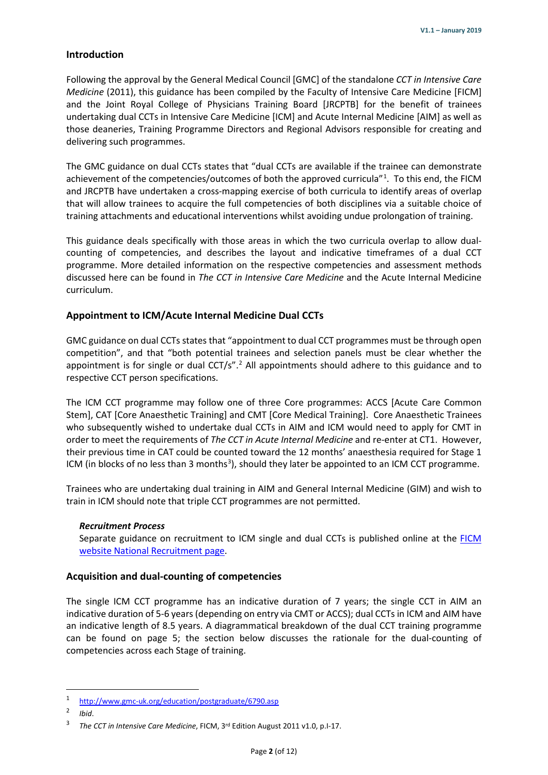#### <span id="page-1-0"></span>**Introduction**

Following the approval by the General Medical Council [GMC] of the standalone *CCT in Intensive Care Medicine* (2011), this guidance has been compiled by the Faculty of Intensive Care Medicine [FICM] and the Joint Royal College of Physicians Training Board [JRCPTB] for the benefit of trainees undertaking dual CCTs in Intensive Care Medicine [ICM] and Acute Internal Medicine [AIM] as well as those deaneries, Training Programme Directors and Regional Advisors responsible for creating and delivering such programmes.

The GMC guidance on dual CCTs states that "dual CCTs are available if the trainee can demonstrate achievement of the competencies/outcomes of both the approved curricula"<sup>[1](#page-1-4)</sup>. To this end, the FICM and JRCPTB have undertaken a cross-mapping exercise of both curricula to identify areas of overlap that will allow trainees to acquire the full competencies of both disciplines via a suitable choice of training attachments and educational interventions whilst avoiding undue prolongation of training.

This guidance deals specifically with those areas in which the two curricula overlap to allow dualcounting of competencies, and describes the layout and indicative timeframes of a dual CCT programme. More detailed information on the respective competencies and assessment methods discussed here can be found in *The CCT in Intensive Care Medicine* and the Acute Internal Medicine curriculum.

## <span id="page-1-1"></span>**Appointment to ICM/Acute Internal Medicine Dual CCTs**

GMC guidance on dual CCTs states that "appointment to dual CCT programmes must be through open competition", and that "both potential trainees and selection panels must be clear whether the appointment is for single or dual CCT/s".<sup>[2](#page-1-5)</sup> All appointments should adhere to this guidance and to respective CCT person specifications.

The ICM CCT programme may follow one of three Core programmes: ACCS [Acute Care Common Stem], CAT [Core Anaesthetic Training] and CMT [Core Medical Training]. Core Anaesthetic Trainees who subsequently wished to undertake dual CCTs in AIM and ICM would need to apply for CMT in order to meet the requirements of *The CCT in Acute Internal Medicine* and re-enter at CT1. However, their previous time in CAT could be counted toward the 12 months' anaesthesia required for Stage 1 ICM (in blocks of no less than [3](#page-1-6) months<sup>3</sup>), should they later be appointed to an ICM CCT programme.

Trainees who are undertaking dual training in AIM and General Internal Medicine (GIM) and wish to train in ICM should note that triple CCT programmes are not permitted.

#### <span id="page-1-2"></span>*Recruitment Process*

Separate guidance on recruitment to ICM single and dual CCTs is published online at the FICM [website National Recruitment page.](http://ficm.ac.uk/national-recruitment-intensive-care-medicine)

#### <span id="page-1-3"></span>**Acquisition and dual-counting of competencies**

The single ICM CCT programme has an indicative duration of 7 years; the single CCT in AIM an indicative duration of 5-6 years (depending on entry via CMT or ACCS); dual CCTs in ICM and AIM have an indicative length of 8.5 years. A diagrammatical breakdown of the dual CCT training programme can be found on page 5; the section below discusses the rationale for the dual-counting of competencies across each Stage of training.

<span id="page-1-5"></span><sup>2</sup> *Ibid*.

<span id="page-1-4"></span><sup>1</sup> <http://www.gmc-uk.org/education/postgraduate/6790.asp>

<span id="page-1-6"></span><sup>&</sup>lt;sup>3</sup> *The CCT in Intensive Care Medicine, FICM, 3<sup>rd</sup> Edition August 2011 v1.0, p.I-17.*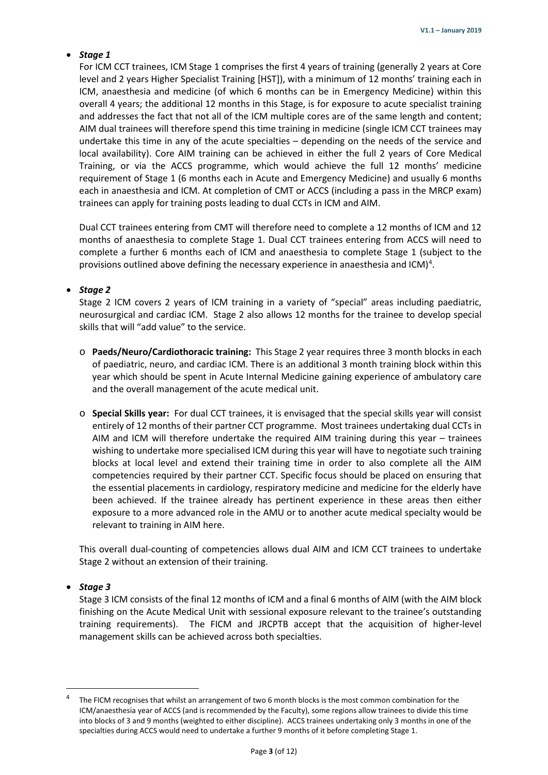## <span id="page-2-0"></span>• *Stage 1*

For ICM CCT trainees, ICM Stage 1 comprises the first 4 years of training (generally 2 years at Core level and 2 years Higher Specialist Training [HST]), with a minimum of 12 months' training each in ICM, anaesthesia and medicine (of which 6 months can be in Emergency Medicine) within this overall 4 years; the additional 12 months in this Stage, is for exposure to acute specialist training and addresses the fact that not all of the ICM multiple cores are of the same length and content; AIM dual trainees will therefore spend this time training in medicine (single ICM CCT trainees may undertake this time in any of the acute specialties – depending on the needs of the service and local availability). Core AIM training can be achieved in either the full 2 years of Core Medical Training, or via the ACCS programme, which would achieve the full 12 months' medicine requirement of Stage 1 (6 months each in Acute and Emergency Medicine) and usually 6 months each in anaesthesia and ICM. At completion of CMT or ACCS (including a pass in the MRCP exam) trainees can apply for training posts leading to dual CCTs in ICM and AIM.

Dual CCT trainees entering from CMT will therefore need to complete a 12 months of ICM and 12 months of anaesthesia to complete Stage 1. Dual CCT trainees entering from ACCS will need to complete a further 6 months each of ICM and anaesthesia to complete Stage 1 (subject to the provisions outlined above defining the necessary experience in anaesthesia and ICM)<sup>[4](#page-2-3)</sup>.

#### <span id="page-2-1"></span>• *Stage 2*

Stage 2 ICM covers 2 years of ICM training in a variety of "special" areas including paediatric, neurosurgical and cardiac ICM. Stage 2 also allows 12 months for the trainee to develop special skills that will "add value" to the service.

- o **Paeds/Neuro/Cardiothoracic training:** This Stage 2 year requires three 3 month blocks in each of paediatric, neuro, and cardiac ICM. There is an additional 3 month training block within this year which should be spent in Acute Internal Medicine gaining experience of ambulatory care and the overall management of the acute medical unit.
- o **Special Skills year:** For dual CCT trainees, it is envisaged that the special skills year will consist entirely of 12 months of their partner CCT programme. Most trainees undertaking dual CCTs in AIM and ICM will therefore undertake the required AIM training during this year – trainees wishing to undertake more specialised ICM during this year will have to negotiate such training blocks at local level and extend their training time in order to also complete all the AIM competencies required by their partner CCT. Specific focus should be placed on ensuring that the essential placements in cardiology, respiratory medicine and medicine for the elderly have been achieved. If the trainee already has pertinent experience in these areas then either exposure to a more advanced role in the AMU or to another acute medical specialty would be relevant to training in AIM here.

This overall dual-counting of competencies allows dual AIM and ICM CCT trainees to undertake Stage 2 without an extension of their training.

#### <span id="page-2-2"></span>• *Stage 3*

Stage 3 ICM consists of the final 12 months of ICM and a final 6 months of AIM (with the AIM block finishing on the Acute Medical Unit with sessional exposure relevant to the trainee's outstanding training requirements). The FICM and JRCPTB accept that the acquisition of higher-level management skills can be achieved across both specialties.

<span id="page-2-3"></span>The FICM recognises that whilst an arrangement of two 6 month blocks is the most common combination for the ICM/anaesthesia year of ACCS (and is recommended by the Faculty), some regions allow trainees to divide this time into blocks of 3 and 9 months (weighted to either discipline). ACCS trainees undertaking only 3 months in one of the specialties during ACCS would need to undertake a further 9 months of it before completing Stage 1.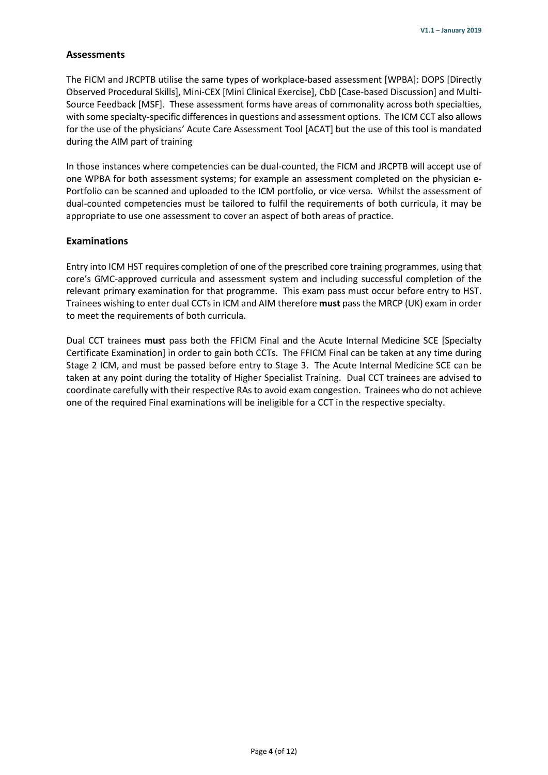#### <span id="page-3-0"></span>**Assessments**

The FICM and JRCPTB utilise the same types of workplace-based assessment [WPBA]: DOPS [Directly Observed Procedural Skills], Mini-CEX [Mini Clinical Exercise], CbD [Case-based Discussion] and Multi-Source Feedback [MSF]. These assessment forms have areas of commonality across both specialties, with some specialty-specific differences in questions and assessment options. The ICM CCT also allows for the use of the physicians' Acute Care Assessment Tool [ACAT] but the use of this tool is mandated during the AIM part of training

In those instances where competencies can be dual-counted, the FICM and JRCPTB will accept use of one WPBA for both assessment systems; for example an assessment completed on the physician e-Portfolio can be scanned and uploaded to the ICM portfolio, or vice versa. Whilst the assessment of dual-counted competencies must be tailored to fulfil the requirements of both curricula, it may be appropriate to use one assessment to cover an aspect of both areas of practice.

#### <span id="page-3-1"></span>**Examinations**

Entry into ICM HST requires completion of one of the prescribed core training programmes, using that core's GMC-approved curricula and assessment system and including successful completion of the relevant primary examination for that programme. This exam pass must occur before entry to HST. Trainees wishing to enter dual CCTs in ICM and AIM therefore **must** pass the MRCP (UK) exam in order to meet the requirements of both curricula.

Dual CCT trainees **must** pass both the FFICM Final and the Acute Internal Medicine SCE [Specialty Certificate Examination] in order to gain both CCTs. The FFICM Final can be taken at any time during Stage 2 ICM, and must be passed before entry to Stage 3. The Acute Internal Medicine SCE can be taken at any point during the totality of Higher Specialist Training. Dual CCT trainees are advised to coordinate carefully with their respective RAs to avoid exam congestion. Trainees who do not achieve one of the required Final examinations will be ineligible for a CCT in the respective specialty.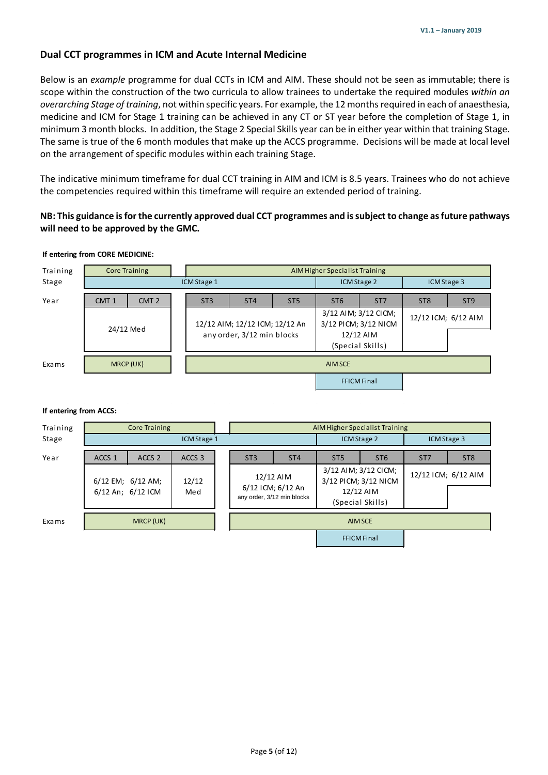## <span id="page-4-0"></span>**Dual CCT programmes in ICM and Acute Internal Medicine**

Below is an *example* programme for dual CCTs in ICM and AIM. These should not be seen as immutable; there is scope within the construction of the two curricula to allow trainees to undertake the required modules *within an overarching Stage of training*, not within specific years. For example, the 12 months required in each of anaesthesia, medicine and ICM for Stage 1 training can be achieved in any CT or ST year before the completion of Stage 1, in minimum 3 month blocks. In addition, the Stage 2 Special Skills year can be in either year within that training Stage. The same is true of the 6 month modules that make up the ACCS programme. Decisions will be made at local level on the arrangement of specific modules within each training Stage.

The indicative minimum timeframe for dual CCT training in AIM and ICM is 8.5 years. Trainees who do not achieve the competencies required within this timeframe will require an extended period of training.

#### **NB: This guidance is for the currently approved dual CCT programmes and is subject to change as future pathways will need to be approved by the GMC.**

#### **If entering from CORE MEDICINE:**

| Training | <b>Core Training</b>                 |  |                                                              |                 |                 |                                                                               |                 |                     |                 |  |
|----------|--------------------------------------|--|--------------------------------------------------------------|-----------------|-----------------|-------------------------------------------------------------------------------|-----------------|---------------------|-----------------|--|
| Stage    | ICM Stage 1                          |  |                                                              |                 |                 |                                                                               | ICM Stage 2     |                     | ICM Stage 3     |  |
| Year     | CMT <sub>1</sub><br>CMT <sub>2</sub> |  | ST <sub>3</sub>                                              | ST <sub>4</sub> | ST <sub>5</sub> | ST <sub>6</sub>                                                               | ST <sub>7</sub> | ST <sub>8</sub>     | ST <sub>9</sub> |  |
|          | 24/12 Med                            |  | 12/12 AIM; 12/12 ICM; 12/12 An<br>any order, 3/12 min blocks |                 |                 | 3/12 AIM; 3/12 CICM;<br>3/12 PICM; 3/12 NICM<br>12/12 AIM<br>(Special Skills) |                 | 12/12 ICM; 6/12 AIM |                 |  |
| Exams    | MRCP (UK)                            |  |                                                              |                 |                 | AIM SCE                                                                       |                 |                     |                 |  |
|          |                                      |  |                                                              |                 |                 | <b>FFICM Final</b>                                                            |                 |                     |                 |  |

#### **If entering from ACCS:**

| Training          | <b>Core Training</b><br>ICM Stage 1 |                                        |                   |  | AIM Higher Specialist Training                               |                 |                    |                                                                               |                 |                     |
|-------------------|-------------------------------------|----------------------------------------|-------------------|--|--------------------------------------------------------------|-----------------|--------------------|-------------------------------------------------------------------------------|-----------------|---------------------|
| Stage             |                                     |                                        |                   |  |                                                              |                 | ICM Stage 2        |                                                                               | ICM Stage 3     |                     |
| Year              | ACCS <sub>1</sub>                   | ACCS <sub>2</sub>                      | ACCS <sub>3</sub> |  | ST <sub>3</sub>                                              | ST <sub>4</sub> | ST <sub>5</sub>    | ST <sub>6</sub>                                                               | ST <sub>7</sub> | ST <sub>8</sub>     |
|                   |                                     | 6/12 EM; 6/12 AM;<br>6/12 An; 6/12 ICM | 12/12<br>Med      |  | 12/12 AIM<br>6/12 ICM; 6/12 An<br>any order, 3/12 min blocks |                 |                    | 3/12 AIM; 3/12 CICM;<br>3/12 PICM; 3/12 NICM<br>12/12 AIM<br>(Special Skills) |                 | 12/12 ICM; 6/12 AIM |
| Exa <sub>ms</sub> |                                     | MRCP (UK)                              |                   |  |                                                              |                 | <b>AIM SCE</b>     |                                                                               |                 |                     |
|                   |                                     |                                        |                   |  |                                                              |                 | <b>FFICM Final</b> |                                                                               |                 |                     |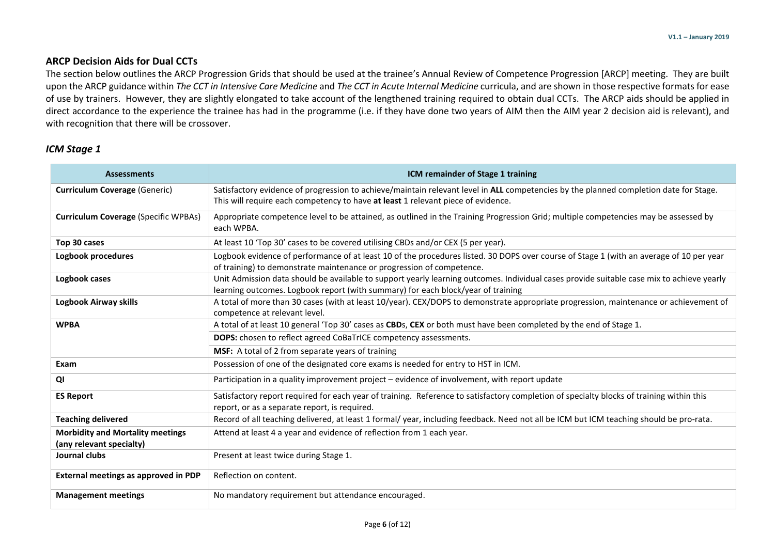#### **ARCP Decision Aids for Dual CCTs**

The section below outlines the ARCP Progression Grids that should be used at the trainee's Annual Review of Competence Progression [ARCP] meeting. They are built upon the ARCP guidance within *The CCT in Intensive Care Medicine* and *The CCT in Acute Internal Medicine* curricula, and are shown in those respective formats for ease of use by trainers. However, they are slightly elongated to take account of the lengthened training required to obtain dual CCTs. The ARCP aids should be applied in direct accordance to the experience the trainee has had in the programme (i.e. if they have done two years of AIM then the AIM year 2 decision aid is relevant), and with recognition that there will be crossover.

#### *ICM Stage 1*

<span id="page-5-0"></span>

| <b>Assessments</b>                                                  | ICM remainder of Stage 1 training                                                                                                                                                                                             |
|---------------------------------------------------------------------|-------------------------------------------------------------------------------------------------------------------------------------------------------------------------------------------------------------------------------|
| <b>Curriculum Coverage (Generic)</b>                                | Satisfactory evidence of progression to achieve/maintain relevant level in ALL competencies by the planned completion date for Stage.<br>This will require each competency to have at least 1 relevant piece of evidence.     |
| <b>Curriculum Coverage (Specific WPBAs)</b>                         | Appropriate competence level to be attained, as outlined in the Training Progression Grid; multiple competencies may be assessed by<br>each WPBA.                                                                             |
| Top 30 cases                                                        | At least 10 'Top 30' cases to be covered utilising CBDs and/or CEX (5 per year).                                                                                                                                              |
| Logbook procedures                                                  | Logbook evidence of performance of at least 10 of the procedures listed. 30 DOPS over course of Stage 1 (with an average of 10 per year<br>of training) to demonstrate maintenance or progression of competence.              |
| Logbook cases                                                       | Unit Admission data should be available to support yearly learning outcomes. Individual cases provide suitable case mix to achieve yearly<br>learning outcomes. Logbook report (with summary) for each block/year of training |
| <b>Logbook Airway skills</b>                                        | A total of more than 30 cases (with at least 10/year). CEX/DOPS to demonstrate appropriate progression, maintenance or achievement of<br>competence at relevant level.                                                        |
| <b>WPBA</b>                                                         | A total of at least 10 general 'Top 30' cases as CBDs, CEX or both must have been completed by the end of Stage 1.                                                                                                            |
|                                                                     | DOPS: chosen to reflect agreed CoBaTrICE competency assessments.                                                                                                                                                              |
|                                                                     | MSF: A total of 2 from separate years of training                                                                                                                                                                             |
| Exam                                                                | Possession of one of the designated core exams is needed for entry to HST in ICM.                                                                                                                                             |
| QI                                                                  | Participation in a quality improvement project – evidence of involvement, with report update                                                                                                                                  |
| <b>ES Report</b>                                                    | Satisfactory report required for each year of training. Reference to satisfactory completion of specialty blocks of training within this<br>report, or as a separate report, is required.                                     |
| <b>Teaching delivered</b>                                           | Record of all teaching delivered, at least 1 formal/ year, including feedback. Need not all be ICM but ICM teaching should be pro-rata.                                                                                       |
| <b>Morbidity and Mortality meetings</b><br>(any relevant specialty) | Attend at least 4 a year and evidence of reflection from 1 each year.                                                                                                                                                         |
| Journal clubs                                                       | Present at least twice during Stage 1.                                                                                                                                                                                        |
| <b>External meetings as approved in PDP</b>                         | Reflection on content.                                                                                                                                                                                                        |
| <b>Management meetings</b>                                          | No mandatory requirement but attendance encouraged.                                                                                                                                                                           |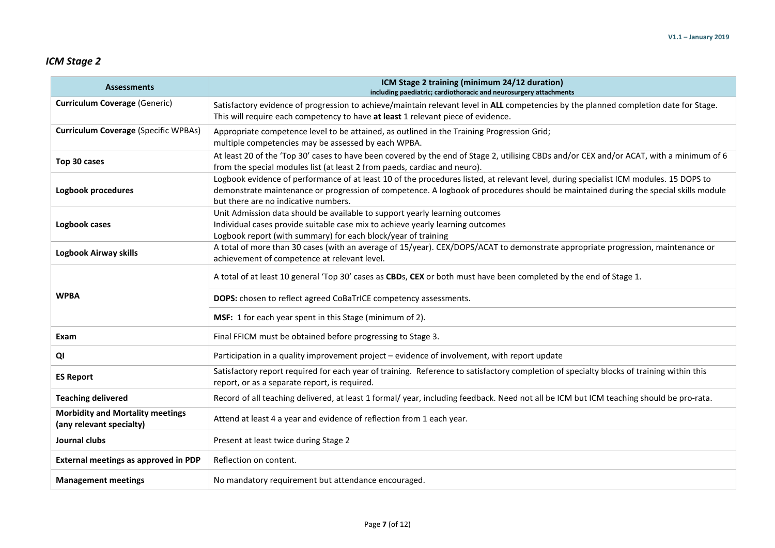## *ICM Stage 2*

| <b>Assessments</b>                                                  | ICM Stage 2 training (minimum 24/12 duration)<br>including paediatric; cardiothoracic and neurosurgery attachments                                                                                                                                                                                                   |
|---------------------------------------------------------------------|----------------------------------------------------------------------------------------------------------------------------------------------------------------------------------------------------------------------------------------------------------------------------------------------------------------------|
| <b>Curriculum Coverage (Generic)</b>                                | Satisfactory evidence of progression to achieve/maintain relevant level in ALL competencies by the planned completion date for Stage.<br>This will require each competency to have at least 1 relevant piece of evidence.                                                                                            |
| <b>Curriculum Coverage (Specific WPBAs)</b>                         | Appropriate competence level to be attained, as outlined in the Training Progression Grid;<br>multiple competencies may be assessed by each WPBA.                                                                                                                                                                    |
| Top 30 cases                                                        | At least 20 of the 'Top 30' cases to have been covered by the end of Stage 2, utilising CBDs and/or CEX and/or ACAT, with a minimum of 6<br>from the special modules list (at least 2 from paeds, cardiac and neuro).                                                                                                |
| Logbook procedures                                                  | Logbook evidence of performance of at least 10 of the procedures listed, at relevant level, during specialist ICM modules. 15 DOPS to<br>demonstrate maintenance or progression of competence. A logbook of procedures should be maintained during the special skills module<br>but there are no indicative numbers. |
| Logbook cases                                                       | Unit Admission data should be available to support yearly learning outcomes<br>Individual cases provide suitable case mix to achieve yearly learning outcomes<br>Logbook report (with summary) for each block/year of training                                                                                       |
| Logbook Airway skills                                               | A total of more than 30 cases (with an average of 15/year). CEX/DOPS/ACAT to demonstrate appropriate progression, maintenance or<br>achievement of competence at relevant level.                                                                                                                                     |
| <b>WPBA</b>                                                         | A total of at least 10 general 'Top 30' cases as CBDs, CEX or both must have been completed by the end of Stage 1.<br>DOPS: chosen to reflect agreed CoBaTrICE competency assessments.<br>MSF: 1 for each year spent in this Stage (minimum of 2).                                                                   |
| Exam                                                                | Final FFICM must be obtained before progressing to Stage 3.                                                                                                                                                                                                                                                          |
| QI                                                                  | Participation in a quality improvement project - evidence of involvement, with report update                                                                                                                                                                                                                         |
| <b>ES Report</b>                                                    | Satisfactory report required for each year of training. Reference to satisfactory completion of specialty blocks of training within this<br>report, or as a separate report, is required.                                                                                                                            |
| <b>Teaching delivered</b>                                           | Record of all teaching delivered, at least 1 formal/ year, including feedback. Need not all be ICM but ICM teaching should be pro-rata.                                                                                                                                                                              |
| <b>Morbidity and Mortality meetings</b><br>(any relevant specialty) | Attend at least 4 a year and evidence of reflection from 1 each year.                                                                                                                                                                                                                                                |
| Journal clubs                                                       | Present at least twice during Stage 2                                                                                                                                                                                                                                                                                |
| External meetings as approved in PDP                                | Reflection on content.                                                                                                                                                                                                                                                                                               |
| <b>Management meetings</b>                                          | No mandatory requirement but attendance encouraged.                                                                                                                                                                                                                                                                  |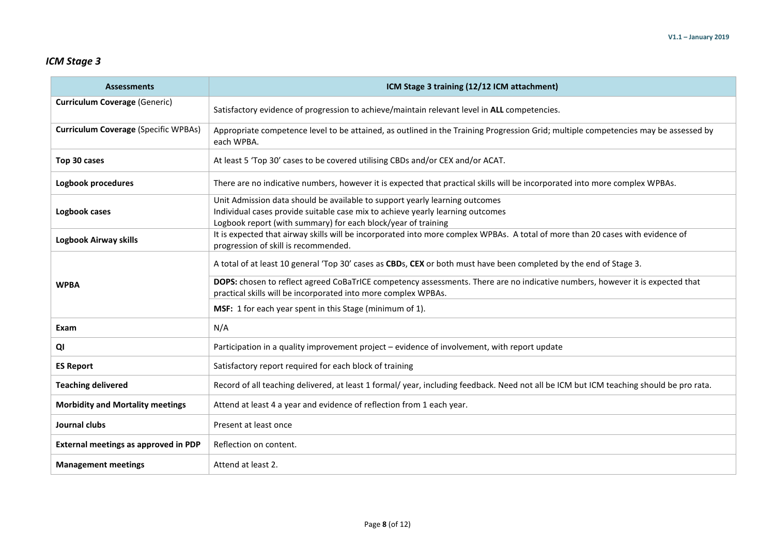## *ICM Stage 3*

| <b>Assessments</b>                          | ICM Stage 3 training (12/12 ICM attachment)                                                                                                                                                                                    |  |  |  |  |  |  |
|---------------------------------------------|--------------------------------------------------------------------------------------------------------------------------------------------------------------------------------------------------------------------------------|--|--|--|--|--|--|
| <b>Curriculum Coverage (Generic)</b>        | Satisfactory evidence of progression to achieve/maintain relevant level in ALL competencies.                                                                                                                                   |  |  |  |  |  |  |
| <b>Curriculum Coverage (Specific WPBAs)</b> | Appropriate competence level to be attained, as outlined in the Training Progression Grid; multiple competencies may be assessed by<br>each WPBA.                                                                              |  |  |  |  |  |  |
| Top 30 cases                                | At least 5 'Top 30' cases to be covered utilising CBDs and/or CEX and/or ACAT.                                                                                                                                                 |  |  |  |  |  |  |
| Logbook procedures                          | There are no indicative numbers, however it is expected that practical skills will be incorporated into more complex WPBAs.                                                                                                    |  |  |  |  |  |  |
| Logbook cases                               | Unit Admission data should be available to support yearly learning outcomes<br>Individual cases provide suitable case mix to achieve yearly learning outcomes<br>Logbook report (with summary) for each block/year of training |  |  |  |  |  |  |
| Logbook Airway skills                       | It is expected that airway skills will be incorporated into more complex WPBAs. A total of more than 20 cases with evidence of<br>progression of skill is recommended.                                                         |  |  |  |  |  |  |
|                                             | A total of at least 10 general 'Top 30' cases as CBDs, CEX or both must have been completed by the end of Stage 3.                                                                                                             |  |  |  |  |  |  |
| <b>WPBA</b>                                 | DOPS: chosen to reflect agreed CoBaTrICE competency assessments. There are no indicative numbers, however it is expected that<br>practical skills will be incorporated into more complex WPBAs.                                |  |  |  |  |  |  |
|                                             | MSF: 1 for each year spent in this Stage (minimum of 1).                                                                                                                                                                       |  |  |  |  |  |  |
| Exam                                        | N/A                                                                                                                                                                                                                            |  |  |  |  |  |  |
| QI                                          | Participation in a quality improvement project - evidence of involvement, with report update                                                                                                                                   |  |  |  |  |  |  |
| <b>ES Report</b>                            | Satisfactory report required for each block of training                                                                                                                                                                        |  |  |  |  |  |  |
| <b>Teaching delivered</b>                   | Record of all teaching delivered, at least 1 formal/ year, including feedback. Need not all be ICM but ICM teaching should be pro rata.                                                                                        |  |  |  |  |  |  |
| <b>Morbidity and Mortality meetings</b>     | Attend at least 4 a year and evidence of reflection from 1 each year.                                                                                                                                                          |  |  |  |  |  |  |
| Journal clubs                               | Present at least once                                                                                                                                                                                                          |  |  |  |  |  |  |
| External meetings as approved in PDP        | Reflection on content.                                                                                                                                                                                                         |  |  |  |  |  |  |
| <b>Management meetings</b>                  | Attend at least 2.                                                                                                                                                                                                             |  |  |  |  |  |  |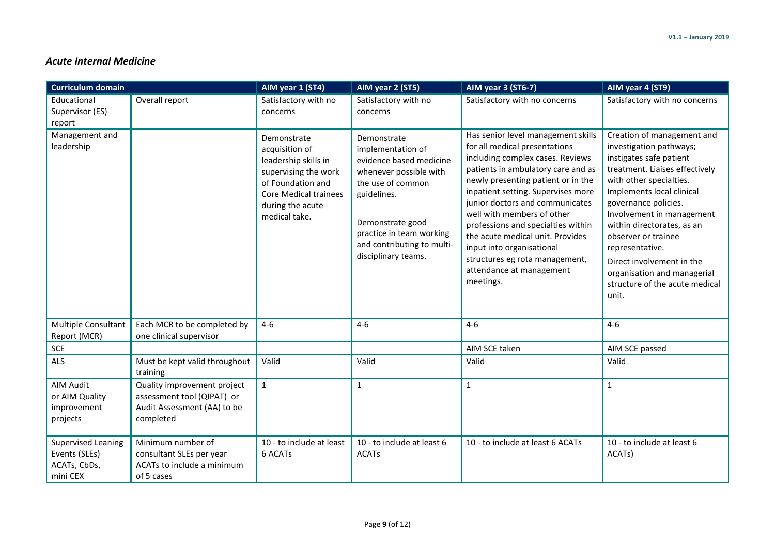# *Acute Internal Medicine*

<span id="page-8-0"></span>

| <b>Curriculum domain</b>                                               |                                                                                                       | AIM year 1 (ST4)                                                                                                                                                        | AIM year 2 (ST5)                                                                                                                                                                                                               | <b>AIM year 3 (ST6-7)</b>                                                                                                                                                                                                                                                                                                                                                                                                                                                    | AIM year 4 (ST9)                                                                                                                                                                                                                                                                                                                                                                                               |
|------------------------------------------------------------------------|-------------------------------------------------------------------------------------------------------|-------------------------------------------------------------------------------------------------------------------------------------------------------------------------|--------------------------------------------------------------------------------------------------------------------------------------------------------------------------------------------------------------------------------|------------------------------------------------------------------------------------------------------------------------------------------------------------------------------------------------------------------------------------------------------------------------------------------------------------------------------------------------------------------------------------------------------------------------------------------------------------------------------|----------------------------------------------------------------------------------------------------------------------------------------------------------------------------------------------------------------------------------------------------------------------------------------------------------------------------------------------------------------------------------------------------------------|
| Educational<br>Supervisor (ES)<br>report                               | Overall report                                                                                        | Satisfactory with no<br>concerns                                                                                                                                        | Satisfactory with no<br>concerns                                                                                                                                                                                               | Satisfactory with no concerns                                                                                                                                                                                                                                                                                                                                                                                                                                                | Satisfactory with no concerns                                                                                                                                                                                                                                                                                                                                                                                  |
| Management and<br>leadership                                           |                                                                                                       | Demonstrate<br>acquisition of<br>leadership skills in<br>supervising the work<br>of Foundation and<br><b>Core Medical trainees</b><br>during the acute<br>medical take. | Demonstrate<br>implementation of<br>evidence based medicine<br>whenever possible with<br>the use of common<br>guidelines.<br>Demonstrate good<br>practice in team working<br>and contributing to multi-<br>disciplinary teams. | Has senior level management skills<br>for all medical presentations<br>including complex cases. Reviews<br>patients in ambulatory care and as<br>newly presenting patient or in the<br>inpatient setting. Supervises more<br>junior doctors and communicates<br>well with members of other<br>professions and specialties within<br>the acute medical unit. Provides<br>input into organisational<br>structures eg rota management,<br>attendance at management<br>meetings. | Creation of management and<br>investigation pathways;<br>instigates safe patient<br>treatment. Liaises effectively<br>with other specialties.<br>Implements local clinical<br>governance policies.<br>Involvement in management<br>within directorates, as an<br>observer or trainee<br>representative.<br>Direct involvement in the<br>organisation and managerial<br>structure of the acute medical<br>unit. |
| Multiple Consultant<br>Report (MCR)                                    | Each MCR to be completed by<br>one clinical supervisor                                                | $4 - 6$                                                                                                                                                                 | $4-6$                                                                                                                                                                                                                          | $4 - 6$                                                                                                                                                                                                                                                                                                                                                                                                                                                                      | $4-6$                                                                                                                                                                                                                                                                                                                                                                                                          |
| <b>SCE</b>                                                             |                                                                                                       |                                                                                                                                                                         |                                                                                                                                                                                                                                | AIM SCE taken                                                                                                                                                                                                                                                                                                                                                                                                                                                                | AIM SCE passed                                                                                                                                                                                                                                                                                                                                                                                                 |
| <b>ALS</b>                                                             | Must be kept valid throughout<br>training                                                             | Valid                                                                                                                                                                   | Valid                                                                                                                                                                                                                          | Valid                                                                                                                                                                                                                                                                                                                                                                                                                                                                        | Valid                                                                                                                                                                                                                                                                                                                                                                                                          |
| <b>AIM Audit</b><br>or AIM Quality<br>improvement<br>projects          | Quality improvement project<br>assessment tool (QIPAT) or<br>Audit Assessment (AA) to be<br>completed | $\mathbf{1}$                                                                                                                                                            | $\mathbf{1}$                                                                                                                                                                                                                   | $\mathbf{1}$                                                                                                                                                                                                                                                                                                                                                                                                                                                                 | $\mathbf{1}$                                                                                                                                                                                                                                                                                                                                                                                                   |
| <b>Supervised Leaning</b><br>Events (SLEs)<br>ACATs, CbDs,<br>mini CEX | Minimum number of<br>consultant SLEs per year<br>ACATs to include a minimum<br>of 5 cases             | 10 - to include at least<br>6 ACATs                                                                                                                                     | 10 - to include at least 6<br><b>ACATs</b>                                                                                                                                                                                     | 10 - to include at least 6 ACATs                                                                                                                                                                                                                                                                                                                                                                                                                                             | 10 - to include at least 6<br>ACATs)                                                                                                                                                                                                                                                                                                                                                                           |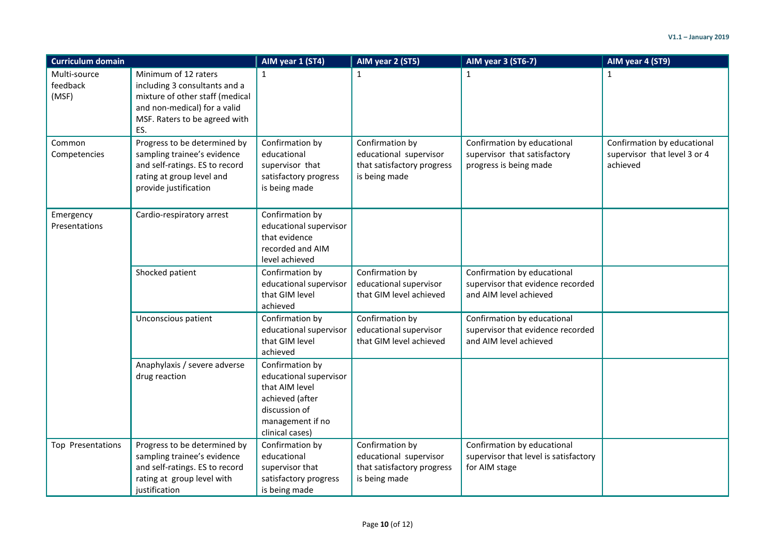| <b>Curriculum domain</b>          |                                                                                                                                                                  | AIM year 1 (ST4)                                                                                                                       | AIM year 2 (ST5)                                                                         | <b>AIM year 3 (ST6-7)</b>                                                                  | AIM year 4 (ST9)                                                        |
|-----------------------------------|------------------------------------------------------------------------------------------------------------------------------------------------------------------|----------------------------------------------------------------------------------------------------------------------------------------|------------------------------------------------------------------------------------------|--------------------------------------------------------------------------------------------|-------------------------------------------------------------------------|
| Multi-source<br>feedback<br>(MSF) | Minimum of 12 raters<br>including 3 consultants and a<br>mixture of other staff (medical<br>and non-medical) for a valid<br>MSF. Raters to be agreed with<br>ES. | $\mathbf{1}$                                                                                                                           | 1                                                                                        | $\mathbf{1}$                                                                               | 1                                                                       |
| Common<br>Competencies            | Progress to be determined by<br>sampling trainee's evidence<br>and self-ratings. ES to record<br>rating at group level and<br>provide justification              | Confirmation by<br>educational<br>supervisor that<br>satisfactory progress<br>is being made                                            | Confirmation by<br>educational supervisor<br>that satisfactory progress<br>is being made | Confirmation by educational<br>supervisor that satisfactory<br>progress is being made      | Confirmation by educational<br>supervisor that level 3 or 4<br>achieved |
| Emergency<br>Presentations        | Cardio-respiratory arrest                                                                                                                                        | Confirmation by<br>educational supervisor<br>that evidence<br>recorded and AIM<br>level achieved                                       |                                                                                          |                                                                                            |                                                                         |
|                                   | Shocked patient                                                                                                                                                  | Confirmation by<br>educational supervisor<br>that GIM level<br>achieved                                                                | Confirmation by<br>educational supervisor<br>that GIM level achieved                     | Confirmation by educational<br>supervisor that evidence recorded<br>and AIM level achieved |                                                                         |
|                                   | Unconscious patient                                                                                                                                              | Confirmation by<br>educational supervisor<br>that GIM level<br>achieved                                                                | Confirmation by<br>educational supervisor<br>that GIM level achieved                     | Confirmation by educational<br>supervisor that evidence recorded<br>and AIM level achieved |                                                                         |
|                                   | Anaphylaxis / severe adverse<br>drug reaction                                                                                                                    | Confirmation by<br>educational supervisor<br>that AIM level<br>achieved (after<br>discussion of<br>management if no<br>clinical cases) |                                                                                          |                                                                                            |                                                                         |
| Top Presentations                 | Progress to be determined by<br>sampling trainee's evidence<br>and self-ratings. ES to record<br>rating at group level with<br>justification                     | Confirmation by<br>educational<br>supervisor that<br>satisfactory progress<br>is being made                                            | Confirmation by<br>educational supervisor<br>that satisfactory progress<br>is being made | Confirmation by educational<br>supervisor that level is satisfactory<br>for AIM stage      |                                                                         |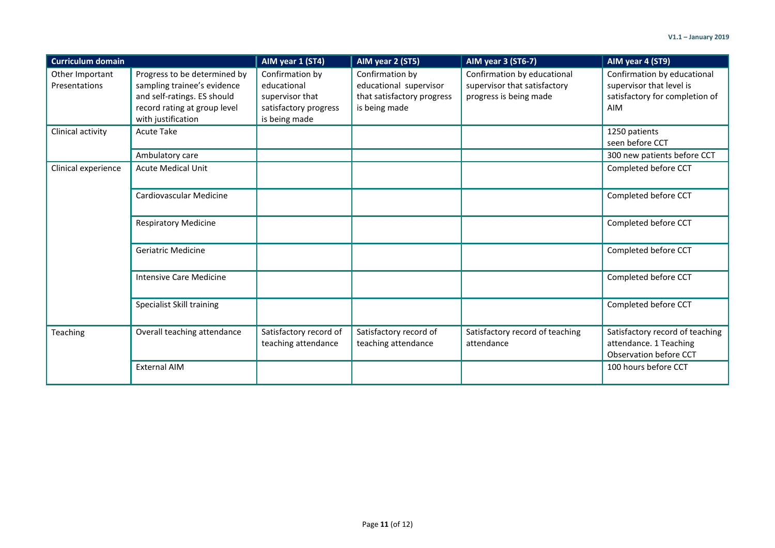| <b>Curriculum domain</b>         |                                                                                                                                                  | AIM year 1 (ST4)                                                                            | AIM year 2 (ST5)                                                                         | <b>AIM year 3 (ST6-7)</b>                                                             | AIM year 4 (ST9)                                                                                        |
|----------------------------------|--------------------------------------------------------------------------------------------------------------------------------------------------|---------------------------------------------------------------------------------------------|------------------------------------------------------------------------------------------|---------------------------------------------------------------------------------------|---------------------------------------------------------------------------------------------------------|
| Other Important<br>Presentations | Progress to be determined by<br>sampling trainee's evidence<br>and self-ratings. ES should<br>record rating at group level<br>with justification | Confirmation by<br>educational<br>supervisor that<br>satisfactory progress<br>is being made | Confirmation by<br>educational supervisor<br>that satisfactory progress<br>is being made | Confirmation by educational<br>supervisor that satisfactory<br>progress is being made | Confirmation by educational<br>supervisor that level is<br>satisfactory for completion of<br><b>AIM</b> |
| Clinical activity                | <b>Acute Take</b>                                                                                                                                |                                                                                             |                                                                                          |                                                                                       | 1250 patients<br>seen before CCT                                                                        |
|                                  | Ambulatory care                                                                                                                                  |                                                                                             |                                                                                          |                                                                                       | 300 new patients before CCT                                                                             |
| Clinical experience              | <b>Acute Medical Unit</b>                                                                                                                        |                                                                                             |                                                                                          |                                                                                       | Completed before CCT                                                                                    |
|                                  | Cardiovascular Medicine                                                                                                                          |                                                                                             |                                                                                          |                                                                                       | Completed before CCT                                                                                    |
|                                  | <b>Respiratory Medicine</b>                                                                                                                      |                                                                                             |                                                                                          |                                                                                       | Completed before CCT                                                                                    |
|                                  | Geriatric Medicine                                                                                                                               |                                                                                             |                                                                                          |                                                                                       | Completed before CCT                                                                                    |
|                                  | <b>Intensive Care Medicine</b>                                                                                                                   |                                                                                             |                                                                                          |                                                                                       | Completed before CCT                                                                                    |
|                                  | Specialist Skill training                                                                                                                        |                                                                                             |                                                                                          |                                                                                       | Completed before CCT                                                                                    |
| <b>Teaching</b>                  | Overall teaching attendance                                                                                                                      | Satisfactory record of<br>teaching attendance                                               | Satisfactory record of<br>teaching attendance                                            | Satisfactory record of teaching<br>attendance                                         | Satisfactory record of teaching<br>attendance. 1 Teaching<br>Observation before CCT                     |
|                                  | <b>External AIM</b>                                                                                                                              |                                                                                             |                                                                                          |                                                                                       | 100 hours before CCT                                                                                    |